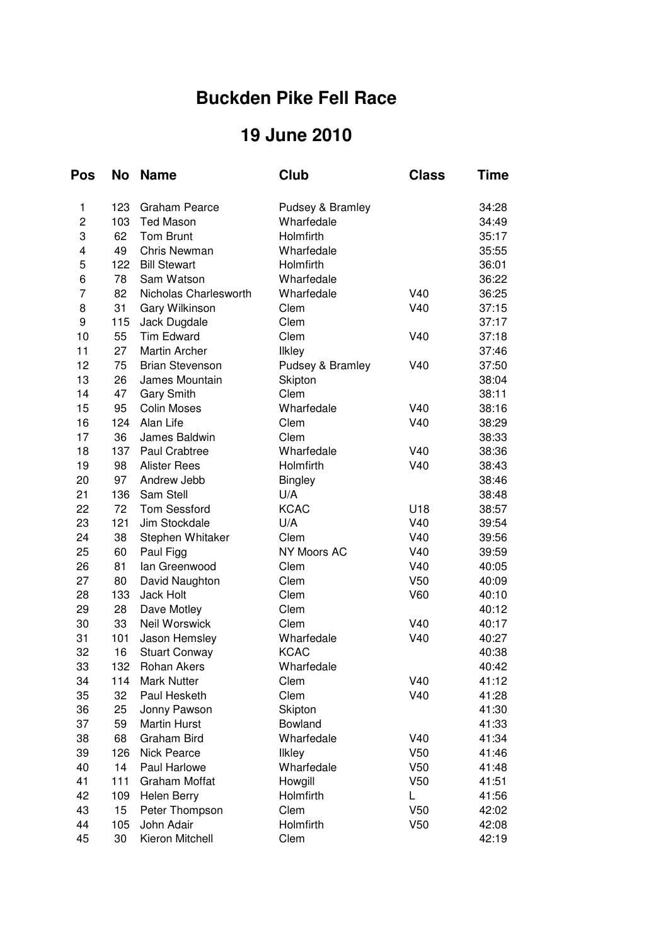## **Buckden Pike Fell Race**

## **19 June 2010**

| <b>Pos</b>     | <b>No</b> | <b>Name</b>            | <b>Club</b>      | <b>Class</b>    | <b>Time</b> |
|----------------|-----------|------------------------|------------------|-----------------|-------------|
| 1              | 123       | <b>Graham Pearce</b>   | Pudsey & Bramley |                 | 34:28       |
| $\overline{c}$ | 103       | <b>Ted Mason</b>       | Wharfedale       |                 | 34:49       |
| 3              | 62        | <b>Tom Brunt</b>       | Holmfirth        |                 | 35:17       |
| 4              | 49        | Chris Newman           | Wharfedale       |                 | 35:55       |
| 5              | 122       | <b>Bill Stewart</b>    | Holmfirth        |                 | 36:01       |
| 6              | 78        | Sam Watson             | Wharfedale       |                 | 36:22       |
| $\overline{7}$ | 82        | Nicholas Charlesworth  | Wharfedale       | V40             | 36:25       |
| 8              | 31        | Gary Wilkinson         | Clem             | V40             | 37:15       |
| 9              | 115       | Jack Dugdale           | Clem             |                 | 37:17       |
| 10             | 55        | <b>Tim Edward</b>      | Clem             | V40             | 37:18       |
| 11             | 27        | <b>Martin Archer</b>   | Ilkley           |                 | 37:46       |
| 12             | 75        | <b>Brian Stevenson</b> | Pudsey & Bramley | V40             | 37:50       |
| 13             | 26        | James Mountain         | Skipton          |                 | 38:04       |
| 14             | 47        | <b>Gary Smith</b>      | Clem             |                 | 38:11       |
| 15             | 95        | <b>Colin Moses</b>     | Wharfedale       | V40             | 38:16       |
| 16             | 124       | Alan Life              | Clem             | V40             | 38:29       |
| 17             | 36        | James Baldwin          | Clem             |                 | 38:33       |
| 18             | 137       | Paul Crabtree          | Wharfedale       | V40             | 38:36       |
| 19             | 98        | <b>Alister Rees</b>    | Holmfirth        | V40             | 38:43       |
| 20             | 97        | Andrew Jebb            | <b>Bingley</b>   |                 | 38:46       |
| 21             | 136       | Sam Stell              | U/A              |                 | 38:48       |
| 22             | 72        | <b>Tom Sessford</b>    | <b>KCAC</b>      | U18             | 38:57       |
| 23             | 121       | Jim Stockdale          | U/A              | V40             | 39:54       |
| 24             | 38        | Stephen Whitaker       | Clem             | V40             | 39:56       |
| 25             | 60        | Paul Figg              | NY Moors AC      | V40             | 39:59       |
| 26             | 81        | lan Greenwood          | Clem             | V40             | 40:05       |
| 27             | 80        | David Naughton         | Clem             | V50             | 40:09       |
| 28             | 133       | Jack Holt              | Clem             | V60             | 40:10       |
| 29             | 28        | Dave Motley            | Clem             |                 | 40:12       |
| 30             | 33        | Neil Worswick          | Clem             | V40             | 40:17       |
| 31             | 101       | Jason Hemsley          | Wharfedale       | V40             | 40:27       |
| 32             | 16        | <b>Stuart Conway</b>   | <b>KCAC</b>      |                 | 40:38       |
| 33             | 132       | Rohan Akers            | Wharfedale       |                 | 40:42       |
| 34             | 114       | <b>Mark Nutter</b>     | Clem             | V40             | 41:12       |
| 35             | 32        | Paul Hesketh           | Clem             | V40             | 41:28       |
| 36             | 25        | Jonny Pawson           | Skipton          |                 | 41:30       |
| 37             | 59        | <b>Martin Hurst</b>    | Bowland          |                 | 41:33       |
| 38             | 68        | <b>Graham Bird</b>     | Wharfedale       | V40             | 41:34       |
| 39             | 126       | <b>Nick Pearce</b>     | <b>Ilkley</b>    | V50             | 41:46       |
| 40             | 14        | Paul Harlowe           | Wharfedale       | V <sub>50</sub> | 41:48       |
| 41             | 111       | Graham Moffat          | Howgill          | V <sub>50</sub> | 41:51       |
| 42             | 109       | Helen Berry            | Holmfirth        | L               | 41:56       |
| 43             | 15        | Peter Thompson         | Clem             | V <sub>50</sub> | 42:02       |
| 44             | 105       | John Adair             | Holmfirth        | V <sub>50</sub> | 42:08       |
| 45             | 30        | Kieron Mitchell        | Clem             |                 | 42:19       |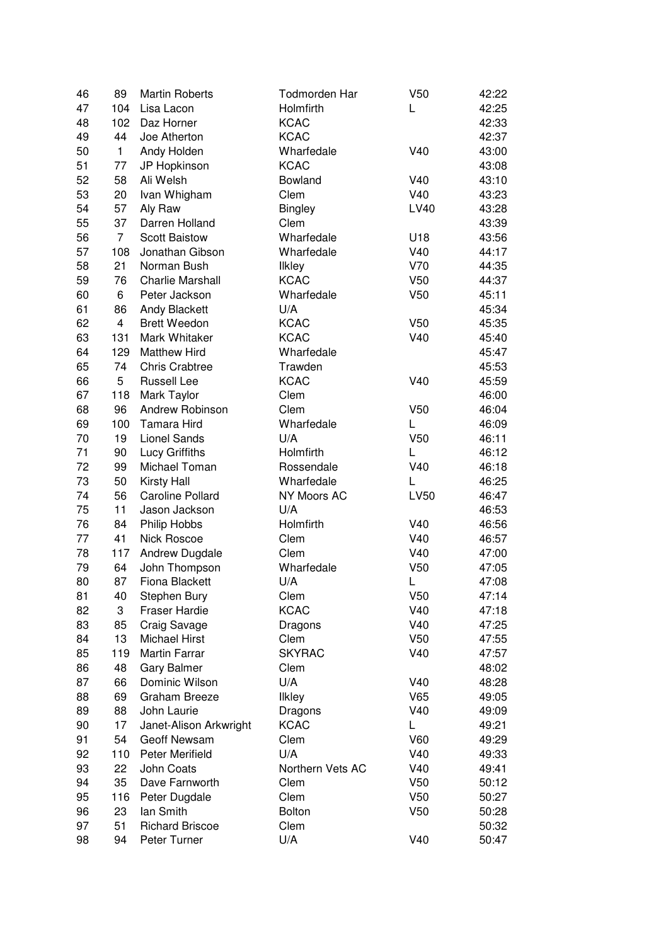| 46 | 89                   | <b>Martin Roberts</b>   | Todmorden Har    | V <sub>50</sub> | 42:22 |
|----|----------------------|-------------------------|------------------|-----------------|-------|
| 47 | 104                  | Lisa Lacon              | Holmfirth        | L               | 42:25 |
| 48 | 102                  | Daz Horner              | <b>KCAC</b>      |                 | 42:33 |
| 49 | 44                   | Joe Atherton            | <b>KCAC</b>      |                 | 42:37 |
| 50 | 1                    | Andy Holden             | Wharfedale       | V40             | 43:00 |
| 51 | 77                   | JP Hopkinson            | <b>KCAC</b>      |                 | 43:08 |
| 52 | 58                   | Ali Welsh               | Bowland          | V40             | 43:10 |
| 53 | 20                   | Ivan Whigham            | Clem             | V40             | 43:23 |
| 54 | 57                   | Aly Raw                 | <b>Bingley</b>   | <b>LV40</b>     | 43:28 |
| 55 | 37                   | Darren Holland          | Clem             |                 | 43:39 |
| 56 | $\overline{7}$       | <b>Scott Baistow</b>    | Wharfedale       | U18             | 43:56 |
| 57 | 108                  | Jonathan Gibson         | Wharfedale       | V40             | 44:17 |
| 58 | 21                   | Norman Bush             | <b>Ilkley</b>    | V70             | 44:35 |
| 59 | 76                   | <b>Charlie Marshall</b> | <b>KCAC</b>      | V <sub>50</sub> | 44:37 |
| 60 | 6                    | Peter Jackson           | Wharfedale       | V <sub>50</sub> | 45:11 |
|    |                      |                         |                  |                 |       |
| 61 | 86<br>$\overline{4}$ | <b>Andy Blackett</b>    | U/A              |                 | 45:34 |
| 62 |                      | <b>Brett Weedon</b>     | <b>KCAC</b>      | V <sub>50</sub> | 45:35 |
| 63 | 131                  | Mark Whitaker           | <b>KCAC</b>      | V40             | 45:40 |
| 64 | 129                  | <b>Matthew Hird</b>     | Wharfedale       |                 | 45:47 |
| 65 | 74                   | <b>Chris Crabtree</b>   | Trawden          |                 | 45:53 |
| 66 | 5                    | <b>Russell Lee</b>      | <b>KCAC</b>      | V40             | 45:59 |
| 67 | 118                  | Mark Taylor             | Clem             |                 | 46:00 |
| 68 | 96                   | Andrew Robinson         | Clem             | V <sub>50</sub> | 46:04 |
| 69 | 100                  | Tamara Hird             | Wharfedale       | L               | 46:09 |
| 70 | 19                   | <b>Lionel Sands</b>     | U/A              | V <sub>50</sub> | 46:11 |
| 71 | 90                   | <b>Lucy Griffiths</b>   | Holmfirth        | L               | 46:12 |
| 72 | 99                   | Michael Toman           | Rossendale       | V40             | 46:18 |
| 73 | 50                   | <b>Kirsty Hall</b>      | Wharfedale       | L               | 46:25 |
| 74 | 56                   | <b>Caroline Pollard</b> | NY Moors AC      | <b>LV50</b>     | 46:47 |
| 75 | 11                   | Jason Jackson           | U/A              |                 | 46:53 |
| 76 | 84                   | Philip Hobbs            | Holmfirth        | V40             | 46:56 |
| 77 | 41                   | Nick Roscoe             | Clem             | V40             | 46:57 |
| 78 | 117                  | Andrew Dugdale          | Clem             | V40             | 47:00 |
| 79 | 64                   | John Thompson           | Wharfedale       | V <sub>50</sub> | 47:05 |
| 80 | 87                   | Fiona Blackett          | U/A              | L               | 47:08 |
| 81 | 40                   | Stephen Bury            | Clem             | V <sub>50</sub> | 47:14 |
| 82 | 3                    | <b>Fraser Hardie</b>    | <b>KCAC</b>      | V40             | 47:18 |
| 83 | 85                   | Craig Savage            | Dragons          | V40             | 47:25 |
| 84 | 13                   | <b>Michael Hirst</b>    | Clem             | V <sub>50</sub> | 47:55 |
| 85 | 119                  | <b>Martin Farrar</b>    | <b>SKYRAC</b>    | V40             | 47:57 |
| 86 | 48                   | <b>Gary Balmer</b>      | Clem             |                 | 48:02 |
| 87 | 66                   | Dominic Wilson          | U/A              | V40             | 48:28 |
| 88 | 69                   | <b>Graham Breeze</b>    | <b>Ilkley</b>    | V65             | 49:05 |
| 89 | 88                   | John Laurie             | Dragons          | V40             | 49:09 |
| 90 | 17                   | Janet-Alison Arkwright  | <b>KCAC</b>      | L               | 49:21 |
| 91 | 54                   | Geoff Newsam            | Clem             | V60             | 49:29 |
| 92 | 110                  | Peter Merifield         | U/A              | V40             | 49:33 |
|    |                      |                         |                  |                 |       |
| 93 | 22                   | John Coats              | Northern Vets AC | V40             | 49:41 |
| 94 | 35                   | Dave Farnworth          | Clem             | V <sub>50</sub> | 50:12 |
| 95 | 116                  | Peter Dugdale           | Clem             | V <sub>50</sub> | 50:27 |
| 96 | 23                   | lan Smith               | <b>Bolton</b>    | V <sub>50</sub> | 50:28 |
| 97 | 51                   | <b>Richard Briscoe</b>  | Clem             |                 | 50:32 |
| 98 | 94                   | Peter Turner            | U/A              | V40             | 50:47 |